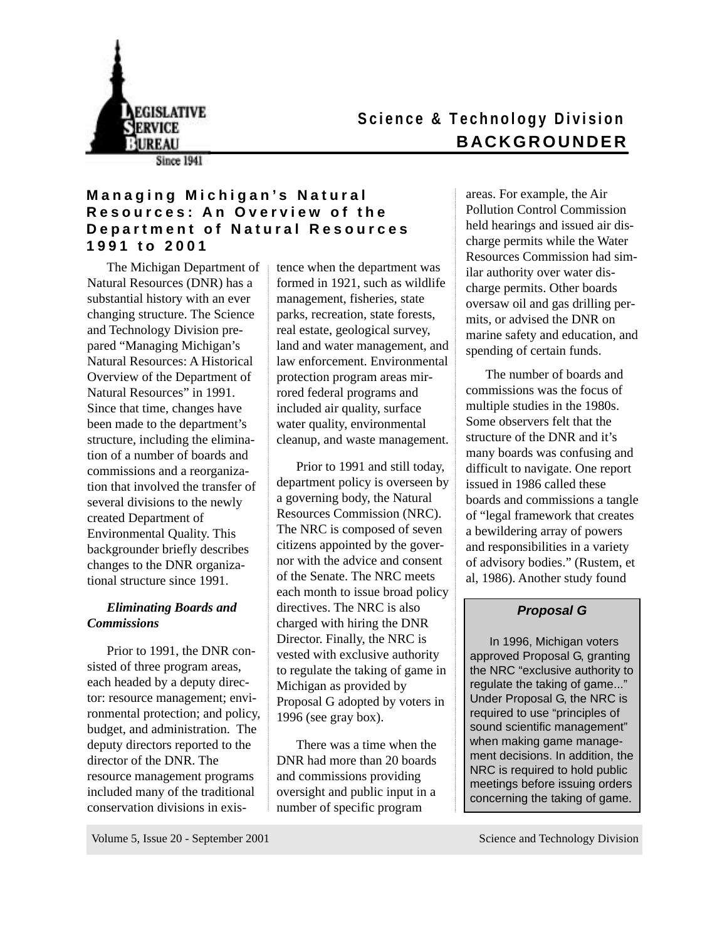

# **S cience & Technology Division BACKGROUNDER**

**Since 1941** 

# **Managing Michigan's Natural Resources: An Overview of the Department of Natural Resources 1991 to 2001**

The Michigan Department of Natural Resources (DNR) has a substantial history with an ever changing structure. The Science and Technology Division prepared "Managing Michigan's Natural Resources: A Historical Overview of the Department of Natural Resources" in 1991. Since that time, changes have been made to the department's structure, including the elimination of a number of boards and commissions and a reorganization that involved the transfer of several divisions to the newly created Department of Environmental Quality. This backgrounder briefly describes changes to the DNR organizational structure since 1991.

# *Eliminating Boards and Commissions*

Prior to 1991, the DNR consisted of three program areas, each headed by a deputy director: resource management; environmental protection; and policy, budget, and administration. The deputy directors reported to the director of the DNR. The resource management programs included many of the traditional conservation divisions in existence when the department was formed in 1921, such as wildlife management, fisheries, state parks, recreation, state forests, real estate, geological survey, land and water management, and law enforcement. Environmental protection program areas mirrored federal programs and included air quality, surface water quality, environmental cleanup, and waste management.

Prior to 1991 and still today, department policy is overseen by a governing body, the Natural Resources Commission (NRC). The NRC is composed of seven citizens appointed by the governor with the advice and consent of the Senate. The NRC meets each month to issue broad policy directives. The NRC is also charged with hiring the DNR Director. Finally, the NRC is vested with exclusive authority to regulate the taking of game in Michigan as provided by Proposal G adopted by voters in 1996 (see gray box).

There was a time when the DNR had more than 20 boards and commissions providing oversight and public input in a number of specific program

areas. For example, the Air Pollution Control Commission held hearings and issued air discharge permits while the Water Resources Commission had similar authority over water discharge permits. Other boards oversaw oil and gas drilling permits, or advised the DNR on marine safety and education, and spending of certain funds.

The number of boards and commissions was the focus of multiple studies in the 1980s. Some observers felt that the structure of the DNR and it's many boards was confusing and difficult to navigate. One report issued in 1986 called these boards and commissions a tangle of "legal framework that creates a bewildering array of powers and responsibilities in a variety of advisory bodies." (Rustem, et al, 1986). Another study found

# **Proposal G**

In 1996, Michigan voters approved Proposal G, granting the NRC "exclusive authority to regulate the taking of game..." Under Proposal G, the NRC is required to use "principles of sound scientific management" when making game management decisions. In addition, the NRC is required to hold public meetings before issuing orders concerning the taking of game.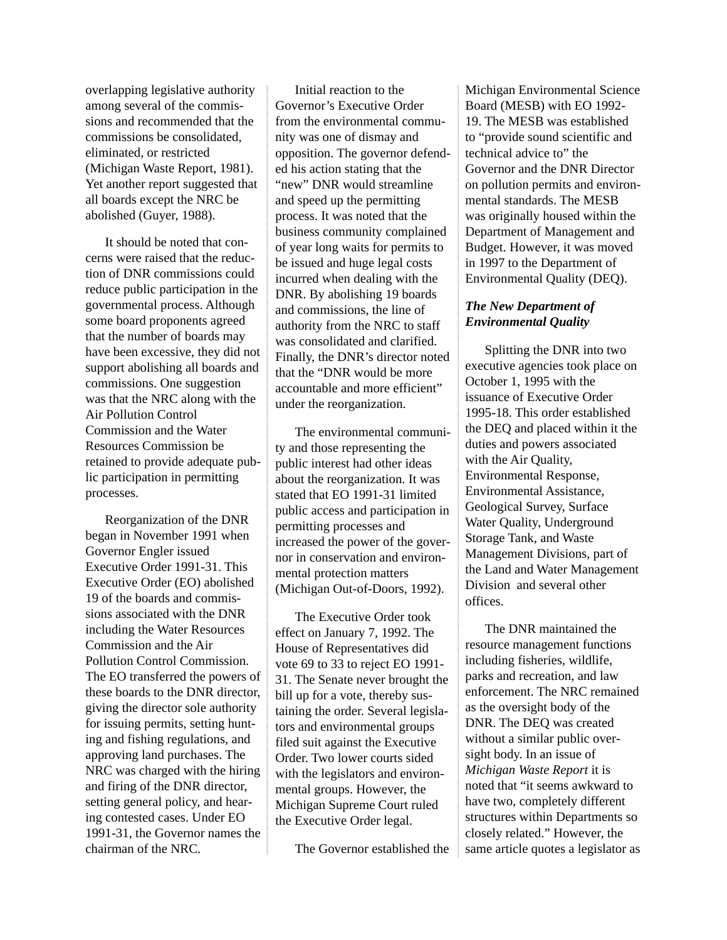overlapping legislative authority among several of the commissions and recommended that the commissions be consolidated, eliminated, or restricted (Michigan Waste Report, 1981). Yet another report suggested that all boards except the NRC be abolished (Guyer, 1988).

It should be noted that concerns were raised that the reduction of DNR commissions could reduce public participation in the governmental process. Although some board proponents agreed that the number of boards may have been excessive, they did not support abolishing all boards and commissions. One suggestion was that the NRC along with the Air Pollution Control Commission and the Water Resources Commission be retained to provide adequate public participation in permitting processes.

Reorganization of the DNR began in November 1991 when Governor Engler issued Executive Order 1991-31. This Executive Order (EO) abolished 19 of the boards and commissions associated with the DNR including the Water Resources Commission and the Air Pollution Control Commission. The EO transferred the powers of these boards to the DNR director, giving the director sole authority for issuing permits, setting hunting and fishing regulations, and approving land purchases. The NRC was charged with the hiring and firing of the DNR director, setting general policy, and hearing contested cases. Under EO 1991-31, the Governor names the chairman of the NRC.

Initial reaction to the Governor's Executive Order from the environmental community was one of dismay and opposition. The governor defended his action stating that the "new" DNR would streamline and speed up the permitting process. It was noted that the business community complained of year long waits for permits to be issued and huge legal costs incurred when dealing with the DNR. By abolishing 19 boards and commissions, the line of authority from the NRC to staff was consolidated and clarified. Finally, the DNR's director noted that the "DNR would be more accountable and more efficient" under the reorganization.

The environmental community and those representing the public interest had other ideas about the reorganization. It was stated that EO 1991-31 limited public access and participation in permitting processes and increased the power of the governor in conservation and environmental protection matters (Michigan Out-of-Doors, 1992).

The Executive Order took effect on January 7, 1992. The House of Representatives did vote 69 to 33 to reject EO 1991- 31. The Senate never brought the bill up for a vote, thereby sustaining the order. Several legislators and environmental groups filed suit against the Executive Order. Two lower courts sided with the legislators and environmental groups. However, the Michigan Supreme Court ruled the Executive Order legal.

The Governor established the

Michigan Environmental Science Board (MESB) with EO 1992- 19. The MESB was established to "provide sound scientific and technical advice to" the Governor and the DNR Director on pollution permits and environmental standards. The MESB was originally housed within the Department of Management and Budget. However, it was moved in 1997 to the Department of Environmental Quality (DEQ).

# *The New Department of Environmental Quality*

Splitting the DNR into two executive agencies took place on October 1, 1995 with the issuance of Executive Order 1995-18. This order established the DEQ and placed within it the duties and powers associated with the Air Quality, Environmental Response, Environmental Assistance, Geological Survey, Surface Water Quality, Underground Storage Tank, and Waste Management Divisions, part of the Land and Water Management Division and several other offices.

The DNR maintained the resource management functions including fisheries, wildlife, parks and recreation, and law enforcement. The NRC remained as the oversight body of the DNR. The DEQ was created without a similar public oversight body. In an issue of *Michigan Waste Report* it is noted that "it seems awkward to have two, completely different structures within Departments so closely related." However, the same article quotes a legislator as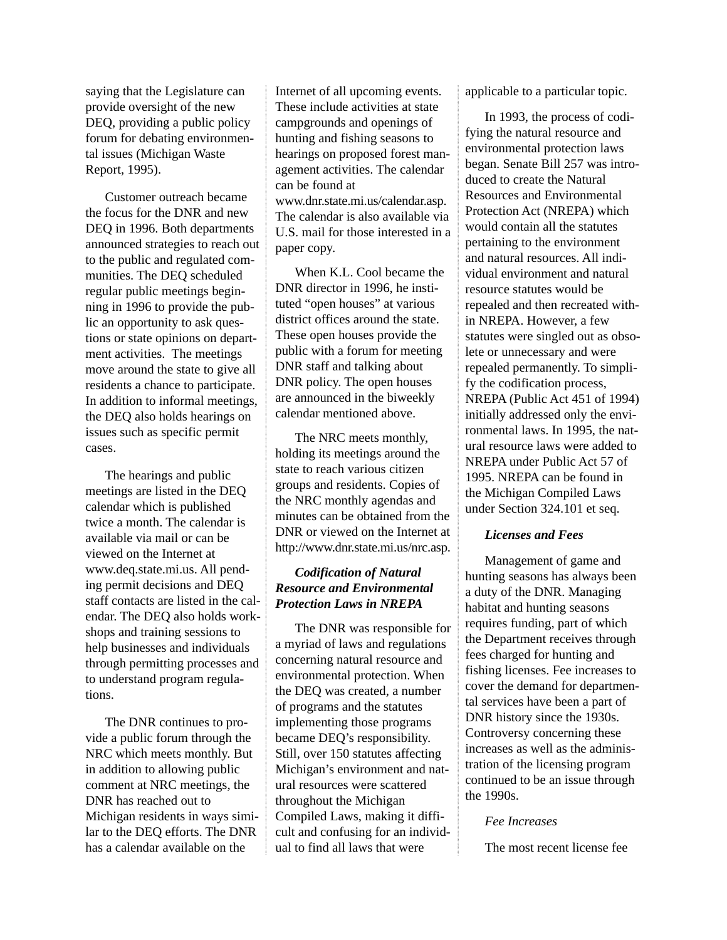saying that the Legislature can provide oversight of the new DEQ, providing a public policy forum for debating environmental issues (Michigan Waste Report, 1995).

Customer outreach became the focus for the DNR and new DEQ in 1996. Both departments announced strategies to reach out to the public and regulated communities. The DEQ scheduled regular public meetings beginning in 1996 to provide the public an opportunity to ask questions or state opinions on department activities. The meetings move around the state to give all residents a chance to participate. In addition to informal meetings, the DEQ also holds hearings on issues such as specific permit cases.

The hearings and public meetings are listed in the DEQ calendar which is published twice a month. The calendar is available via mail or can be viewed on the Internet at www.deq.state.mi.us. All pending permit decisions and DEQ staff contacts are listed in the calendar. The DEQ also holds workshops and training sessions to help businesses and individuals through permitting processes and to understand program regulations.

The DNR continues to provide a public forum through the NRC which meets monthly. But in addition to allowing public comment at NRC meetings, the DNR has reached out to Michigan residents in ways similar to the DEQ efforts. The DNR has a calendar available on the

Internet of all upcoming events. These include activities at state campgrounds and openings of hunting and fishing seasons to hearings on proposed forest management activities. The calendar can be found at www.dnr.state.mi.us/calendar.asp. The calendar is also available via U.S. mail for those interested in a paper copy.

When K.L. Cool became the DNR director in 1996, he instituted "open houses" at various district offices around the state. These open houses provide the public with a forum for meeting DNR staff and talking about DNR policy. The open houses are announced in the biweekly calendar mentioned above.

The NRC meets monthly, holding its meetings around the state to reach various citizen groups and residents. Copies of the NRC monthly agendas and minutes can be obtained from the DNR or viewed on the Internet at http://www.dnr.state.mi.us/nrc.asp.

# *Codification of Natural Resource and Environmental Protection Laws in NREPA*

The DNR was responsible for a myriad of laws and regulations concerning natural resource and environmental protection. When the DEQ was created, a number of programs and the statutes implementing those programs became DEQ's responsibility. Still, over 150 statutes affecting Michigan's environment and natural resources were scattered throughout the Michigan Compiled Laws, making it difficult and confusing for an individual to find all laws that were

applicable to a particular topic.

In 1993, the process of codifying the natural resource and environmental protection laws began. Senate Bill 257 was introduced to create the Natural Resources and Environmental Protection Act (NREPA) which would contain all the statutes pertaining to the environment and natural resources. All individual environment and natural resource statutes would be repealed and then recreated within NREPA. However, a few statutes were singled out as obsolete or unnecessary and were repealed permanently. To simplify the codification process, NREPA (Public Act 451 of 1994) initially addressed only the environmental laws. In 1995, the natural resource laws were added to NREPA under Public Act 57 of 1995. NREPA can be found in the Michigan Compiled Laws under Section 324.101 et seq.

## *Licenses and Fees*

Management of game and hunting seasons has always been a duty of the DNR. Managing habitat and hunting seasons requires funding, part of which the Department receives through fees charged for hunting and fishing licenses. Fee increases to cover the demand for departmental services have been a part of DNR history since the 1930s. Controversy concerning these increases as well as the administration of the licensing program continued to be an issue through the 1990s.

#### *Fee Increases*

The most recent license fee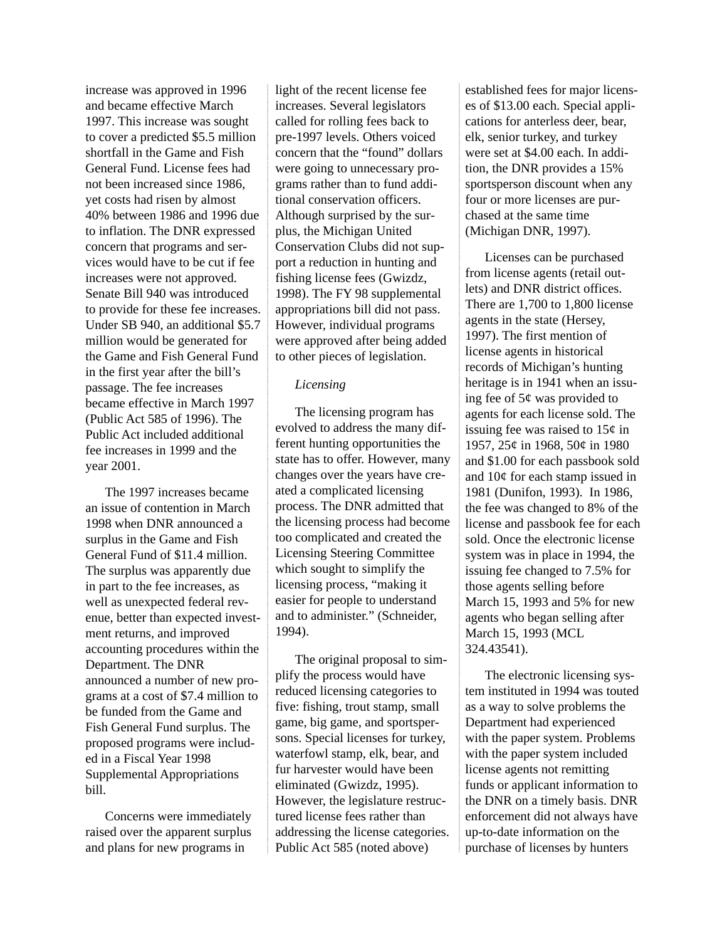increase was approved in 1996 and became effective March 1997. This increase was sought to cover a predicted \$5.5 million shortfall in the Game and Fish General Fund. License fees had not been increased since 1986, yet costs had risen by almost 40% between 1986 and 1996 due to inflation. The DNR expressed concern that programs and services would have to be cut if fee increases were not approved. Senate Bill 940 was introduced to provide for these fee increases. Under SB 940, an additional \$5.7 million would be generated for the Game and Fish General Fund in the first year after the bill's passage. The fee increases became effective in March 1997 (Public Act 585 of 1996). The Public Act included additional fee increases in 1999 and the year 2001.

The 1997 increases became an issue of contention in March 1998 when DNR announced a surplus in the Game and Fish General Fund of \$11.4 million. The surplus was apparently due in part to the fee increases, as well as unexpected federal revenue, better than expected investment returns, and improved accounting procedures within the Department. The DNR announced a number of new programs at a cost of \$7.4 million to be funded from the Game and Fish General Fund surplus. The proposed programs were included in a Fiscal Year 1998 Supplemental Appropriations bill.

Concerns were immediately raised over the apparent surplus and plans for new programs in

light of the recent license fee increases. Several legislators called for rolling fees back to pre-1997 levels. Others voiced concern that the "found" dollars were going to unnecessary programs rather than to fund additional conservation officers. Although surprised by the surplus, the Michigan United Conservation Clubs did not support a reduction in hunting and fishing license fees (Gwizdz, 1998). The FY 98 supplemental appropriations bill did not pass. However, individual programs were approved after being added to other pieces of legislation.

#### *Licensing*

The licensing program has evolved to address the many different hunting opportunities the state has to offer. However, many changes over the years have created a complicated licensing process. The DNR admitted that the licensing process had become too complicated and created the Licensing Steering Committee which sought to simplify the licensing process, "making it easier for people to understand and to administer." (Schneider, 1994).

The original proposal to simplify the process would have reduced licensing categories to five: fishing, trout stamp, small game, big game, and sportspersons. Special licenses for turkey, waterfowl stamp, elk, bear, and fur harvester would have been eliminated (Gwizdz, 1995). However, the legislature restructured license fees rather than addressing the license categories. Public Act 585 (noted above)

established fees for major licenses of \$13.00 each. Special applications for anterless deer, bear, elk, senior turkey, and turkey were set at \$4.00 each. In addition, the DNR provides a 15% sportsperson discount when any four or more licenses are purchased at the same time (Michigan DNR, 1997).

Licenses can be purchased from license agents (retail outlets) and DNR district offices. There are 1,700 to 1,800 license agents in the state (Hersey, 1997). The first mention of license agents in historical records of Michigan's hunting heritage is in 1941 when an issuing fee of 5¢ was provided to agents for each license sold. The issuing fee was raised to  $15¢$  in 1957, 25¢ in 1968, 50¢ in 1980 and \$1.00 for each passbook sold and 10¢ for each stamp issued in 1981 (Dunifon, 1993). In 1986, the fee was changed to 8% of the license and passbook fee for each sold. Once the electronic license system was in place in 1994, the issuing fee changed to 7.5% for those agents selling before March 15, 1993 and 5% for new agents who began selling after March 15, 1993 (MCL 324.43541).

The electronic licensing system instituted in 1994 was touted as a way to solve problems the Department had experienced with the paper system. Problems with the paper system included license agents not remitting funds or applicant information to the DNR on a timely basis. DNR enforcement did not always have up-to-date information on the purchase of licenses by hunters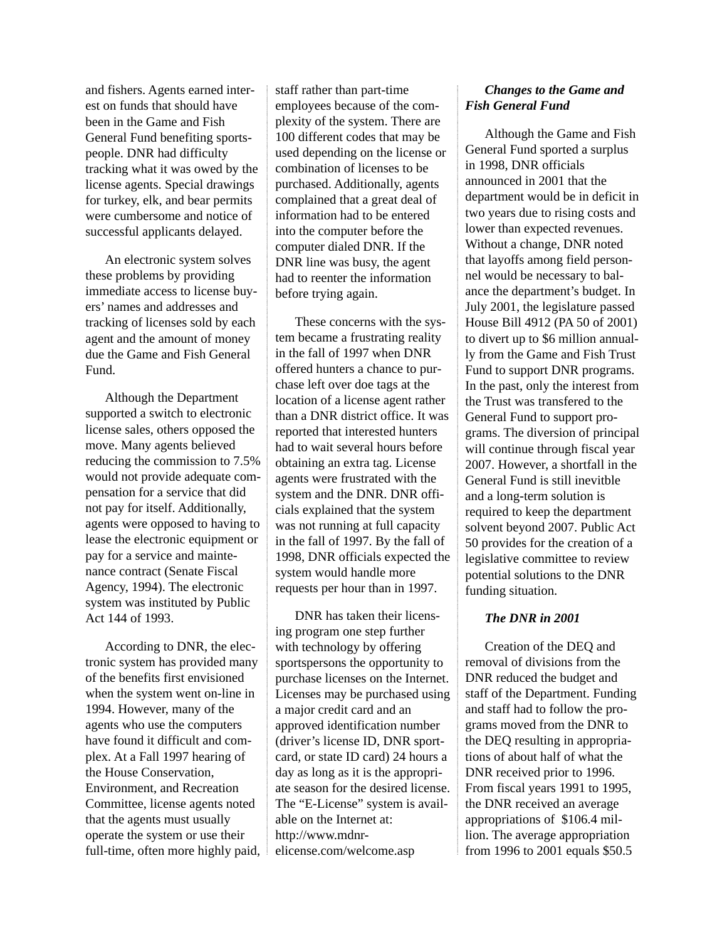and fishers. Agents earned interest on funds that should have been in the Game and Fish General Fund benefiting sportspeople. DNR had difficulty tracking what it was owed by the license agents. Special drawings for turkey, elk, and bear permits were cumbersome and notice of successful applicants delayed.

An electronic system solves these problems by providing immediate access to license buyers' names and addresses and tracking of licenses sold by each agent and the amount of money due the Game and Fish General Fund.

Although the Department supported a switch to electronic license sales, others opposed the move. Many agents believed reducing the commission to 7.5% would not provide adequate compensation for a service that did not pay for itself. Additionally, agents were opposed to having to lease the electronic equipment or pay for a service and maintenance contract (Senate Fiscal Agency, 1994). The electronic system was instituted by Public Act 144 of 1993.

According to DNR, the electronic system has provided many of the benefits first envisioned when the system went on-line in 1994. However, many of the agents who use the computers have found it difficult and complex. At a Fall 1997 hearing of the House Conservation, Environment, and Recreation Committee, license agents noted that the agents must usually operate the system or use their full-time, often more highly paid, staff rather than part-time employees because of the complexity of the system. There are 100 different codes that may be used depending on the license or combination of licenses to be purchased. Additionally, agents complained that a great deal of information had to be entered into the computer before the computer dialed DNR. If the DNR line was busy, the agent had to reenter the information before trying again.

These concerns with the system became a frustrating reality in the fall of 1997 when DNR offered hunters a chance to purchase left over doe tags at the location of a license agent rather than a DNR district office. It was reported that interested hunters had to wait several hours before obtaining an extra tag. License agents were frustrated with the system and the DNR. DNR officials explained that the system was not running at full capacity in the fall of 1997. By the fall of 1998, DNR officials expected the system would handle more requests per hour than in 1997.

DNR has taken their licensing program one step further with technology by offering sportspersons the opportunity to purchase licenses on the Internet. Licenses may be purchased using a major credit card and an approved identification number (driver's license ID, DNR sportcard, or state ID card) 24 hours a day as long as it is the appropriate season for the desired license. The "E-License" system is available on the Internet at: http://www.mdnrelicense.com/welcome.asp

## *Changes to the Game and Fish General Fund*

Although the Game and Fish General Fund sported a surplus in 1998, DNR officials announced in 2001 that the department would be in deficit in two years due to rising costs and lower than expected revenues. Without a change, DNR noted that layoffs among field personnel would be necessary to balance the department's budget. In July 2001, the legislature passed House Bill 4912 (PA 50 of 2001) to divert up to \$6 million annually from the Game and Fish Trust Fund to support DNR programs. In the past, only the interest from the Trust was transfered to the General Fund to support programs. The diversion of principal will continue through fiscal year 2007. However, a shortfall in the General Fund is still inevitble and a long-term solution is required to keep the department solvent beyond 2007. Public Act 50 provides for the creation of a legislative committee to review potential solutions to the DNR funding situation.

### *The DNR in 2001*

Creation of the DEQ and removal of divisions from the DNR reduced the budget and staff of the Department. Funding and staff had to follow the programs moved from the DNR to the DEQ resulting in appropriations of about half of what the DNR received prior to 1996. From fiscal years 1991 to 1995, the DNR received an average appropriations of \$106.4 million. The average appropriation from 1996 to 2001 equals \$50.5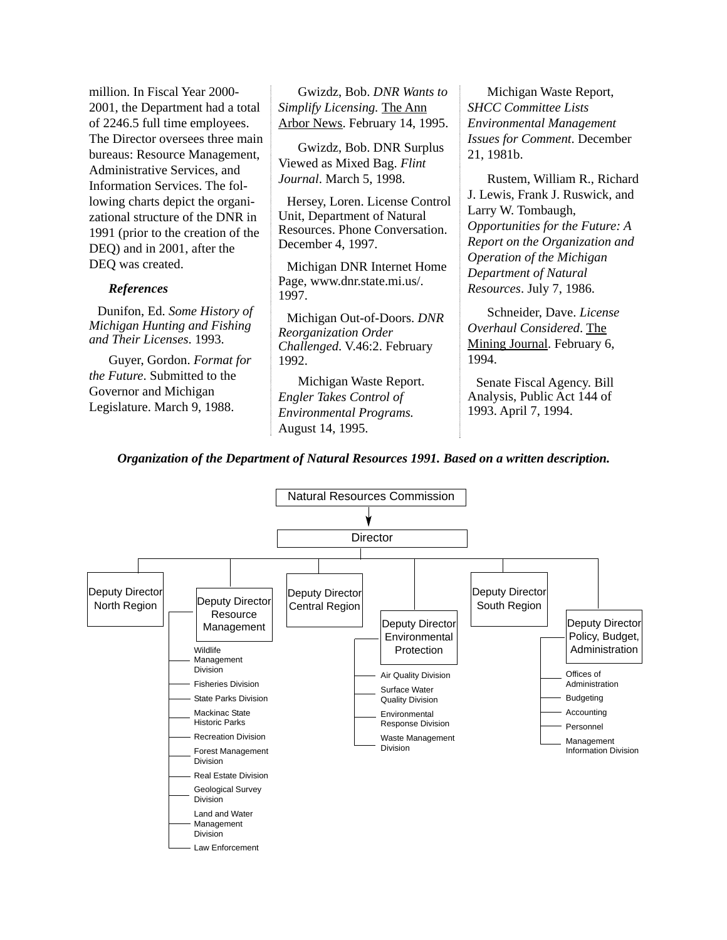million. In Fiscal Year 2000- 2001, the Department had a total of 2246.5 full time employees. The Director oversees three main bureaus: Resource Management, Administrative Services, and Information Services. The following charts depict the organizational structure of the DNR in 1991 (prior to the creation of the DEQ) and in 2001, after the DEQ was created.

### *References*

Dunifon, Ed. *Some History of Michigan Hunting and Fishing and Their Licenses*. 1993.

Guyer, Gordon. *Format for the Future*. Submitted to the Governor and Michigan Legislature. March 9, 1988.

Gwizdz, Bob. *DNR Wants to Simplify Licensing.* The Ann Arbor News. February 14, 1995.

Gwizdz, Bob. DNR Surplus Viewed as Mixed Bag. *Flint Journal*. March 5, 1998.

Hersey, Loren. License Control Unit, Department of Natural Resources. Phone Conversation. December 4, 1997.

Michigan DNR Internet Home Page, www.dnr.state.mi.us/. 1997.

Michigan Out-of-Doors. *DNR Reorganization Order Challenged*. V.46:2. February 1992.

Michigan Waste Report. *Engler Takes Control of Environmental Programs.* August 14, 1995.

Michigan Waste Report, *SHCC Committee Lists Environmental Management Issues for Comment*. December 21, 1981b.

Rustem, William R., Richard J. Lewis, Frank J. Ruswick, and Larry W. Tombaugh, *Opportunities for the Future: A Report on the Organization and Operation of the Michigan Department of Natural Resources*. July 7, 1986.

Schneider, Dave. *License Overhaul Considered*. The Mining Journal. February 6, 1994.

Senate Fiscal Agency. Bill Analysis, Public Act 144 of 1993. April 7, 1994.

*Organization of the Department of Natural Resources 1991. Based on a written description.*